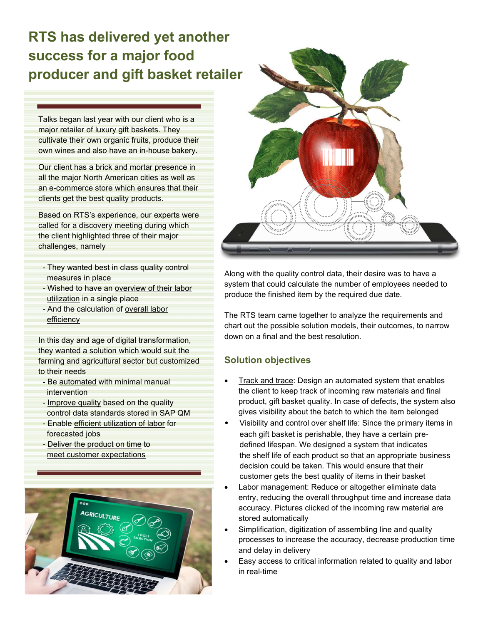# RTS has delivered yet another success for a major food producer and gift basket retailer

Talks began last year with our client who is a major retailer of luxury gift baskets. They cultivate their own organic fruits, produce their own wines and also have an in-house bakery.

Our client has a brick and mortar presence in all the major North American cities as well as an e-commerce store which ensures that their clients get the best quality products.

Based on RTS's experience, our experts were called for a discovery meeting during which the client highlighted three of their major challenges, namely

- They wanted best in class quality control measures in place
- Wished to have an overview of their labor utilization in a single place
- And the calculation of overall labor efficiency

In this day and age of digital transformation, they wanted a solution which would suit the farming and agricultural sector but customized to their needs

- Be automated with minimal manual intervention
- Improve quality based on the quality control data standards stored in SAP QM
- Enable efficient utilization of labor for forecasted jobs
- Deliver the product on time to meet customer expectations





Along with the quality control data, their desire was to have a system that could calculate the number of employees needed to produce the finished item by the required due date.

The RTS team came together to analyze the requirements and chart out the possible solution models, their outcomes, to narrow down on a final and the best resolution.

## Solution objectives

- Track and trace: Design an automated system that enables the client to keep track of incoming raw materials and final product, gift basket quality. In case of defects, the system also gives visibility about the batch to which the item belonged
- Visibility and control over shelf life: Since the primary items in each gift basket is perishable, they have a certain pre defined lifespan. We designed a system that indicates the shelf life of each product so that an appropriate business decision could be taken. This would ensure that their customer gets the best quality of items in their basket
- Labor management: Reduce or altogether eliminate data entry, reducing the overall throughput time and increase data accuracy. Pictures clicked of the incoming raw material are stored automatically
- Simplification, digitization of assembling line and quality processes to increase the accuracy, decrease production time and delay in delivery
- Easy access to critical information related to quality and labor in real-time